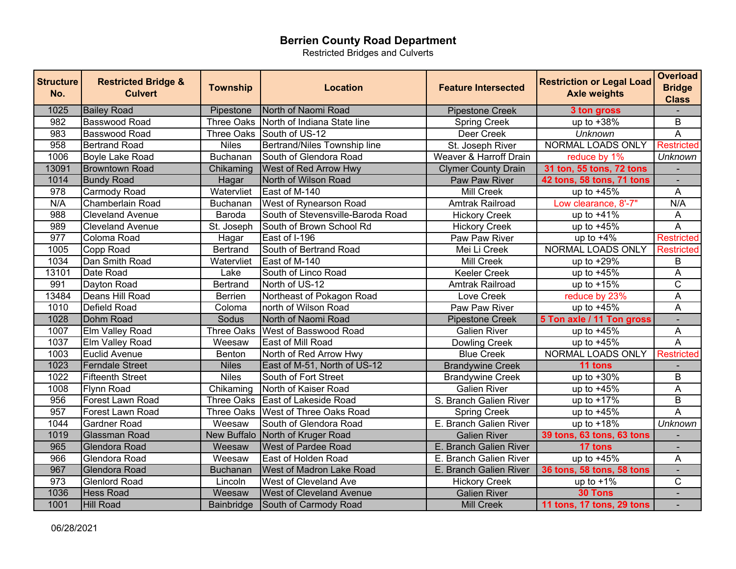Restricted Bridges and Culverts

| <b>Structure</b><br>No. | <b>Restricted Bridge &amp;</b><br><b>Culvert</b> | <b>Township</b> | <b>Location</b>                        | <b>Feature Intersected</b> | <b>Restriction or Legal Load</b><br><b>Axle weights</b> | <b>Overload</b><br><b>Bridge</b><br><b>Class</b> |
|-------------------------|--------------------------------------------------|-----------------|----------------------------------------|----------------------------|---------------------------------------------------------|--------------------------------------------------|
| 1025                    | <b>Bailey Road</b>                               | Pipestone       | North of Naomi Road                    | <b>Pipestone Creek</b>     | 3 ton gross                                             |                                                  |
| 982                     | Basswood Road                                    |                 | Three Oaks North of Indiana State line | <b>Spring Creek</b>        | up to +38%                                              | B                                                |
| 983                     | <b>Basswood Road</b>                             |                 | Three Oaks South of US-12              | Deer Creek                 | <b>Unknown</b>                                          | $\overline{\mathsf{A}}$                          |
| 958                     | <b>Bertrand Road</b>                             | <b>Niles</b>    | Bertrand/Niles Township line           | St. Joseph River           | NORMAL LOADS ONLY                                       | <b>Restricted</b>                                |
| 1006                    | <b>Boyle Lake Road</b>                           | Buchanan        | South of Glendora Road                 | Weaver & Harroff Drain     | reduce by 1%                                            | <b>Unknown</b>                                   |
| 13091                   | <b>Browntown Road</b>                            | Chikaming       | West of Red Arrow Hwy                  | <b>Clymer County Drain</b> | 31 ton, 55 tons, 72 tons                                |                                                  |
| 1014                    | <b>Bundy Road</b>                                | Hagar           | North of Wilson Road                   | Paw Paw River              | 42 tons, 58 tons, 71 tons                               | $\blacksquare$                                   |
| 978                     | <b>Carmody Road</b>                              | Watervliet      | East of M-140                          | Mill Creek                 | up to $+45%$                                            | A                                                |
| N/A                     | Chamberlain Road                                 | Buchanan        | West of Rynearson Road                 | Amtrak Railroad            | Low clearance, 8'-7"                                    | N/A                                              |
| 988                     | <b>Cleveland Avenue</b>                          | Baroda          | South of Stevensville-Baroda Road      | <b>Hickory Creek</b>       | up to $+41%$                                            | Α                                                |
| 989                     | <b>Cleveland Avenue</b>                          | St. Joseph      | South of Brown School Rd               | <b>Hickory Creek</b>       | up to $+45%$                                            | $\overline{A}$                                   |
| 977                     | Coloma Road                                      | Hagar           | East of I-196                          | <b>Paw Paw River</b>       | up to $+4\%$                                            | Restricted                                       |
| 1005                    | Copp Road                                        | <b>Bertrand</b> | South of Bertrand Road                 | Mei Li Creek               | NORMAL LOADS ONLY                                       | Restricted                                       |
| 1034                    | Dan Smith Road                                   | Watervliet      | East of M-140                          | <b>Mill Creek</b>          | up to $+29%$                                            | B                                                |
| 13101                   | Date Road                                        | Lake            | South of Linco Road                    | <b>Keeler Creek</b>        | up to $+45%$                                            | A                                                |
| 991                     | Dayton Road                                      | <b>Bertrand</b> | North of US-12                         | Amtrak Railroad            | up to $+15%$                                            | $\overline{\text{C}}$                            |
| 13484                   | Deans Hill Road                                  | <b>Berrien</b>  | Northeast of Pokagon Road              | Love Creek                 | reduce by 23%                                           | $\overline{A}$                                   |
| 1010                    | Defield Road                                     | Coloma          | north of Wilson Road                   | Paw Paw River              | up to $+45%$                                            | $\overline{A}$                                   |
| 1028                    | Dohm Road                                        | Sodus           | North of Naomi Road                    | <b>Pipestone Creek</b>     | 5 Ton axle / 11 Ton gross                               | $\overline{\phantom{a}}$                         |
| 1007                    | Elm Valley Road                                  | Three Oaks      | West of Basswood Road                  | <b>Galien River</b>        | up to $+45%$                                            | A                                                |
| 1037                    | Elm Valley Road                                  | Weesaw          | East of Mill Road                      | <b>Dowling Creek</b>       | up to $+45%$                                            | $\overline{\mathsf{A}}$                          |
| 1003                    | <b>Euclid Avenue</b>                             | Benton          | North of Red Arrow Hwy                 | <b>Blue Creek</b>          | NORMAL LOADS ONLY                                       | <b>Restricted</b>                                |
| 1023                    | <b>Ferndale Street</b>                           | <b>Niles</b>    | East of M-51, North of US-12           | <b>Brandywine Creek</b>    | 11 tons                                                 |                                                  |
| 1022                    | <b>Fifteenth Street</b>                          | <b>Niles</b>    | South of Fort Street                   | <b>Brandywine Creek</b>    | up to +30%                                              | $\overline{\mathsf{B}}$                          |
| 1008                    | Flynn Road                                       | Chikaming       | North of Kaiser Road                   | <b>Galien River</b>        | up to $+45%$                                            | $\overline{A}$                                   |
| 956                     | Forest Lawn Road                                 |                 | Three Oaks East of Lakeside Road       | S. Branch Galien River     | up to +17%                                              | $\overline{B}$                                   |
| 957                     | Forest Lawn Road                                 |                 | Three Oaks   West of Three Oaks Road   | <b>Spring Creek</b>        | up to $+45%$                                            | $\overline{\mathsf{A}}$                          |
| 1044                    | Gardner Road                                     | Weesaw          | South of Glendora Road                 | E. Branch Galien River     | up to $+18%$                                            | <b>Unknown</b>                                   |
| 1019                    | <b>Glassman Road</b>                             |                 | New Buffalo North of Kruger Road       | <b>Galien River</b>        | 39 tons, 63 tons, 63 tons                               |                                                  |
| 965                     | Glendora Road                                    | Weesaw          | <b>West of Pardee Road</b>             | E. Branch Galien River     | 17 tons                                                 |                                                  |
| 966                     | Glendora Road                                    | Weesaw          | East of Holden Road                    | E. Branch Galien River     | up to $+45%$                                            | Α                                                |
| 967                     | Glendora Road                                    | <b>Buchanan</b> | <b>West of Madron Lake Road</b>        | E. Branch Galien River     | 36 tons, 58 tons, 58 tons                               |                                                  |
| 973                     | <b>Glenlord Road</b>                             | Lincoln         | <b>West of Cleveland Ave</b>           | <b>Hickory Creek</b>       | up to $+1\%$                                            | C                                                |
| 1036                    | <b>Hess Road</b>                                 | Weesaw          | <b>West of Cleveland Avenue</b>        | <b>Galien River</b>        | 30 Tons                                                 |                                                  |
| 1001                    | <b>Hill Road</b>                                 | Bainbridge      | South of Carmody Road                  | <b>Mill Creek</b>          | 11 tons, 17 tons, 29 tons                               |                                                  |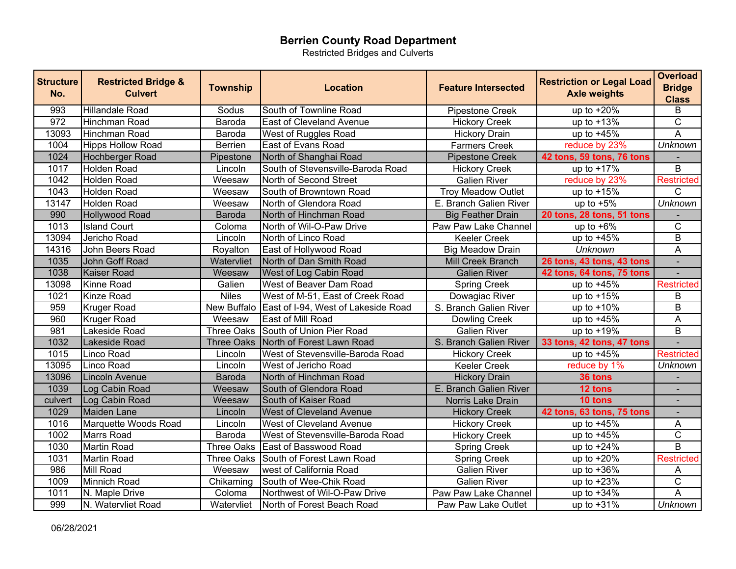Restricted Bridges and Culverts

| <b>Structure</b><br>No. | <b>Restricted Bridge &amp;</b><br><b>Culvert</b> | <b>Township</b> | Location                                          | <b>Feature Intersected</b> | <b>Restriction or Legal Load</b><br><b>Axle weights</b> | <b>Overload</b><br><b>Bridge</b><br><b>Class</b> |
|-------------------------|--------------------------------------------------|-----------------|---------------------------------------------------|----------------------------|---------------------------------------------------------|--------------------------------------------------|
| 993                     | <b>Hillandale Road</b>                           | Sodus           | South of Townline Road                            | Pipestone Creek            | up to $+20%$                                            | B                                                |
| 972                     | Hinchman Road                                    | Baroda          | East of Cleveland Avenue                          | <b>Hickory Creek</b>       | up to $+13%$                                            | $\overline{\text{C}}$                            |
| 13093                   | Hinchman Road                                    | Baroda          | West of Ruggles Road                              | <b>Hickory Drain</b>       | up to $+45%$                                            | $\overline{\mathsf{A}}$                          |
| 1004                    | <b>Hipps Hollow Road</b>                         | <b>Berrien</b>  | <b>East of Evans Road</b>                         | <b>Farmers Creek</b>       | reduce by 23%                                           | <b>Unknown</b>                                   |
| 1024                    | Hochberger Road                                  | Pipestone       | North of Shanghai Road                            | <b>Pipestone Creek</b>     | 42 tons, 59 tons, 76 tons                               |                                                  |
| 1017                    | Holden Road                                      | Lincoln         | South of Stevensville-Baroda Road                 | <b>Hickory Creek</b>       | up to $+17%$                                            | B                                                |
| 1042                    | <b>Holden Road</b>                               | Weesaw          | North of Second Street                            | <b>Galien River</b>        | reduce by 23%                                           | Restricted                                       |
| 1043                    | <b>Holden Road</b>                               | Weesaw          | South of Browntown Road                           | <b>Troy Meadow Outlet</b>  | up to $+15%$                                            | $\mathsf{C}$                                     |
| 13147                   | Holden Road                                      | Weesaw          | North of Glendora Road                            | E. Branch Galien River     | up to $+5\%$                                            | <b>Unknown</b>                                   |
| 990                     | Hollywood Road                                   | <b>Baroda</b>   | North of Hinchman Road                            | <b>Big Feather Drain</b>   | 20 tons, 28 tons, 51 tons                               |                                                  |
| 1013                    | <b>Island Court</b>                              | Coloma          | North of Wil-O-Paw Drive                          | Paw Paw Lake Channel       | up to $+6\%$                                            | C                                                |
| 13094                   | Jericho Road                                     | Lincoln         | North of Linco Road                               | <b>Keeler Creek</b>        | up to $+45%$                                            | $\overline{\mathsf{B}}$                          |
| 14316                   | John Beers Road                                  | Royalton        | East of Hollywood Road                            | <b>Big Meadow Drain</b>    | <b>Unknown</b>                                          | A                                                |
| 1035                    | John Goff Road                                   | Watervliet      | North of Dan Smith Road                           | Mill Creek Branch          | 26 tons, 43 tons, 43 tons                               | $\blacksquare$                                   |
| 1038                    | Kaiser Road                                      | Weesaw          | West of Log Cabin Road                            | <b>Galien River</b>        | 42 tons, 64 tons, 75 tons                               |                                                  |
| 13098                   | Kinne Road                                       | Galien          | West of Beaver Dam Road                           | <b>Spring Creek</b>        | up to $+45%$                                            | <b>Restricted</b>                                |
| 1021                    | Kinze Road                                       | <b>Niles</b>    | West of M-51, East of Creek Road                  | Dowagiac River             | up to +15%                                              | В                                                |
| 959                     | <b>Kruger Road</b>                               |                 | New Buffalo   East of I-94, West of Lakeside Road | S. Branch Galien River     | up to $+10%$                                            | $\overline{B}$                                   |
| 960                     | <b>Kruger Road</b>                               | Weesaw          | East of Mill Road                                 | Dowling Creek              | up to $+45%$                                            | A                                                |
| 981                     | Lakeside Road                                    | Three Oaks      | South of Union Pier Road                          | <b>Galien River</b>        | up to $+19%$                                            | $\overline{B}$                                   |
| 1032                    | Lakeside Road                                    | Three Oaks      | North of Forest Lawn Road                         | S. Branch Galien River     | 33 tons, 42 tons, 47 tons                               |                                                  |
| 1015                    | Linco Road                                       | Lincoln         | West of Stevensville-Baroda Road                  | <b>Hickory Creek</b>       | up to $+45%$                                            | <b>Restricted</b>                                |
| 13095                   | Linco Road                                       | Lincoln         | West of Jericho Road                              | <b>Keeler Creek</b>        | reduce by 1%                                            | <b>Unknown</b>                                   |
| 13096                   | Lincoln Avenue                                   | Baroda          | North of Hinchman Road                            | <b>Hickory Drain</b>       | 36 tons                                                 |                                                  |
| 1039                    | Log Cabin Road                                   | Weesaw          | South of Glendora Road                            | E. Branch Galien River     | 12 tons                                                 |                                                  |
| culvert                 | Log Cabin Road                                   | Weesaw          | South of Kaiser Road                              | Norris Lake Drain          | 10 tons                                                 |                                                  |
| 1029                    | Maiden Lane                                      | Lincoln         | <b>West of Cleveland Avenue</b>                   | <b>Hickory Creek</b>       | 42 tons, 63 tons, 75 tons                               | $\blacksquare$                                   |
| 1016                    | Marquette Woods Road                             | Lincoln         | <b>West of Cleveland Avenue</b>                   | <b>Hickory Creek</b>       | up to $+45%$                                            | Α                                                |
| 1002                    | Marrs Road                                       | Baroda          | West of Stevensville-Baroda Road                  | <b>Hickory Creek</b>       | up to +45%                                              | $\overline{\text{c}}$                            |
| 1030                    | <b>Martin Road</b>                               | Three Oaks      | East of Basswood Road                             | <b>Spring Creek</b>        | up to $+24%$                                            | $\overline{\mathsf{B}}$                          |
| 1031                    | <b>Martin Road</b>                               | Three Oaks      | South of Forest Lawn Road                         | <b>Spring Creek</b>        | up to $+20%$                                            | <b>Restricted</b>                                |
| 986                     | Mill Road                                        | Weesaw          | west of California Road                           | <b>Galien River</b>        | up to $+36%$                                            | A                                                |
| 1009                    | Minnich Road                                     | Chikaming       | South of Wee-Chik Road                            | <b>Galien River</b>        | up to +23%                                              | $\overline{C}$                                   |
| 1011                    | N. Maple Drive                                   | Coloma          | Northwest of Wil-O-Paw Drive                      | Paw Paw Lake Channel       | up to $+34%$                                            | $\overline{\mathsf{A}}$                          |
| 999                     | N. Watervliet Road                               | Watervliet      | North of Forest Beach Road                        | Paw Paw Lake Outlet        | up to +31%                                              | <b>Unknown</b>                                   |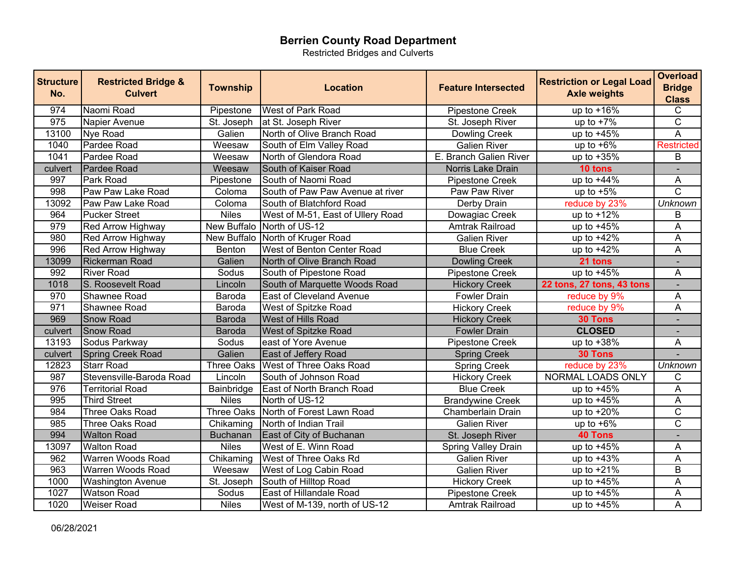Restricted Bridges and Culverts

| <b>Structure</b><br>No. | <b>Restricted Bridge &amp;</b><br><b>Culvert</b> | <b>Township</b> | <b>Location</b>                   | <b>Feature Intersected</b> | <b>Restriction or Legal Load</b><br><b>Axle weights</b> | <b>Overload</b><br><b>Bridge</b><br><b>Class</b> |
|-------------------------|--------------------------------------------------|-----------------|-----------------------------------|----------------------------|---------------------------------------------------------|--------------------------------------------------|
| 974                     | Naomi Road                                       | Pipestone       | West of Park Road                 | Pipestone Creek            | up to $+16\%$                                           | C                                                |
| 975                     | Napier Avenue                                    |                 | St. Joseph   at St. Joseph River  | St. Joseph River           | up to $+7\%$                                            | $\overline{\text{c}}$                            |
| 13100                   | Nye Road                                         | Galien          | North of Olive Branch Road        | Dowling Creek              | up to $+45%$                                            | $\overline{\mathsf{A}}$                          |
| 1040                    | Pardee Road                                      | Weesaw          | South of Elm Valley Road          | <b>Galien River</b>        | up to $+6\%$                                            | <b>Restricted</b>                                |
| 1041                    | Pardee Road                                      | Weesaw          | North of Glendora Road            | E. Branch Galien River     | up to $+35%$                                            | B                                                |
| culvert                 | Pardee Road                                      | Weesaw          | South of Kaiser Road              | Norris Lake Drain          | 10 tons                                                 |                                                  |
| 997                     | Park Road                                        | Pipestone       | South of Naomi Road               | <b>Pipestone Creek</b>     | up to $+44%$                                            | A                                                |
| 998                     | Paw Paw Lake Road                                | Coloma          | South of Paw Paw Avenue at river  | Paw Paw River              | up to $+5%$                                             | C                                                |
| 13092                   | Paw Paw Lake Road                                | Coloma          | South of Blatchford Road          | Derby Drain                | reduce by 23%                                           | <b>Unknown</b>                                   |
| 964                     | <b>Pucker Street</b>                             | <b>Niles</b>    | West of M-51, East of Ullery Road | Dowagiac Creek             | up to $+12\%$                                           | B                                                |
| 979                     | Red Arrow Highway                                | New Buffalo     | North of US-12                    | Amtrak Railroad            | up to $+45%$                                            | A                                                |
| 980                     | Red Arrow Highway                                |                 | New Buffalo North of Kruger Road  | <b>Galien River</b>        | up to $+42%$                                            | A                                                |
| 996                     | Red Arrow Highway                                | Benton          | West of Benton Center Road        | <b>Blue Creek</b>          | up to $+42%$                                            | A                                                |
| 13099                   | <b>Rickerman Road</b>                            | Galien          | North of Olive Branch Road        | <b>Dowling Creek</b>       | 21 tons                                                 | $\blacksquare$                                   |
| 992                     | <b>River Road</b>                                | Sodus           | South of Pipestone Road           | Pipestone Creek            | up to $+45%$                                            | A                                                |
| 1018                    | S. Roosevelt Road                                | Lincoln         | South of Marquette Woods Road     | <b>Hickory Creek</b>       | 22 tons, 27 tons, 43 tons                               | $\blacksquare$                                   |
| 970                     | Shawnee Road                                     | Baroda          | <b>East of Cleveland Avenue</b>   | <b>Fowler Drain</b>        | reduce by 9%                                            | A                                                |
| 971                     | Shawnee Road                                     | Baroda          | West of Spitzke Road              | <b>Hickory Creek</b>       | reduce by 9%                                            | A                                                |
| 969                     | <b>Snow Road</b>                                 | <b>Baroda</b>   | <b>West of Hills Road</b>         | <b>Hickory Creek</b>       | 30 Tons                                                 |                                                  |
| culvert                 | <b>Snow Road</b>                                 | <b>Baroda</b>   | West of Spitzke Road              | <b>Fowler Drain</b>        | <b>CLOSED</b>                                           |                                                  |
| 13193                   | Sodus Parkway                                    | Sodus           | east of Yore Avenue               | Pipestone Creek            | up to $+38%$                                            | A                                                |
| culvert                 | Spring Creek Road                                | Galien          | <b>East of Jeffery Road</b>       | <b>Spring Creek</b>        | 30 Tons                                                 |                                                  |
| 12823                   | <b>Starr Road</b>                                | Three Oaks      | <b>West of Three Oaks Road</b>    | <b>Spring Creek</b>        | reduce by 23%                                           | <b>Unknown</b>                                   |
| 987                     | Stevensville-Baroda Road                         | Lincoln         | South of Johnson Road             | <b>Hickory Creek</b>       | NORMAL LOADS ONLY                                       | C                                                |
| 976                     | <b>Territorial Road</b>                          | Bainbridge      | <b>East of North Branch Road</b>  | <b>Blue Creek</b>          | up to $+4\overline{5\%}$                                | A                                                |
| 995                     | <b>Third Street</b>                              | <b>Niles</b>    | North of US-12                    | <b>Brandywine Creek</b>    | up to $+45\%$                                           | A                                                |
| 984                     | Three Oaks Road                                  | Three Oaks      | North of Forest Lawn Road         | Chamberlain Drain          | up to $+20%$                                            | $\overline{\text{c}}$                            |
| 985                     | Three Oaks Road                                  | Chikaming       | North of Indian Trail             | <b>Galien River</b>        | up to $+6\%$                                            | $\overline{\text{c}}$                            |
| 994                     | <b>Walton Road</b>                               | <b>Buchanan</b> | East of City of Buchanan          | St. Joseph River           | <b>40 Tons</b>                                          | $\blacksquare$                                   |
| 13097                   | <b>Walton Road</b>                               | <b>Niles</b>    | West of E. Winn Road              | Spring Valley Drain        | up to $+45%$                                            | Α                                                |
| 962                     | Warren Woods Road                                | Chikaming       | West of Three Oaks Rd             | <b>Galien River</b>        | up to $+43%$                                            | $\overline{A}$                                   |
| 963                     | <b>Warren Woods Road</b>                         | Weesaw          | West of Log Cabin Road            | <b>Galien River</b>        | up to $+21%$                                            | $\overline{\mathsf{B}}$                          |
| 1000                    | <b>Washington Avenue</b>                         | St. Joseph      | South of Hilltop Road             | <b>Hickory Creek</b>       | up to +45%                                              | A                                                |
| 1027                    | <b>Watson Road</b>                               | Sodus           | <b>East of Hillandale Road</b>    | Pipestone Creek            | up to $+45%$                                            | A                                                |
| 1020                    | <b>Weiser Road</b>                               | <b>Niles</b>    | West of M-139, north of US-12     | Amtrak Railroad            | up to $+45%$                                            | $\overline{\mathsf{A}}$                          |